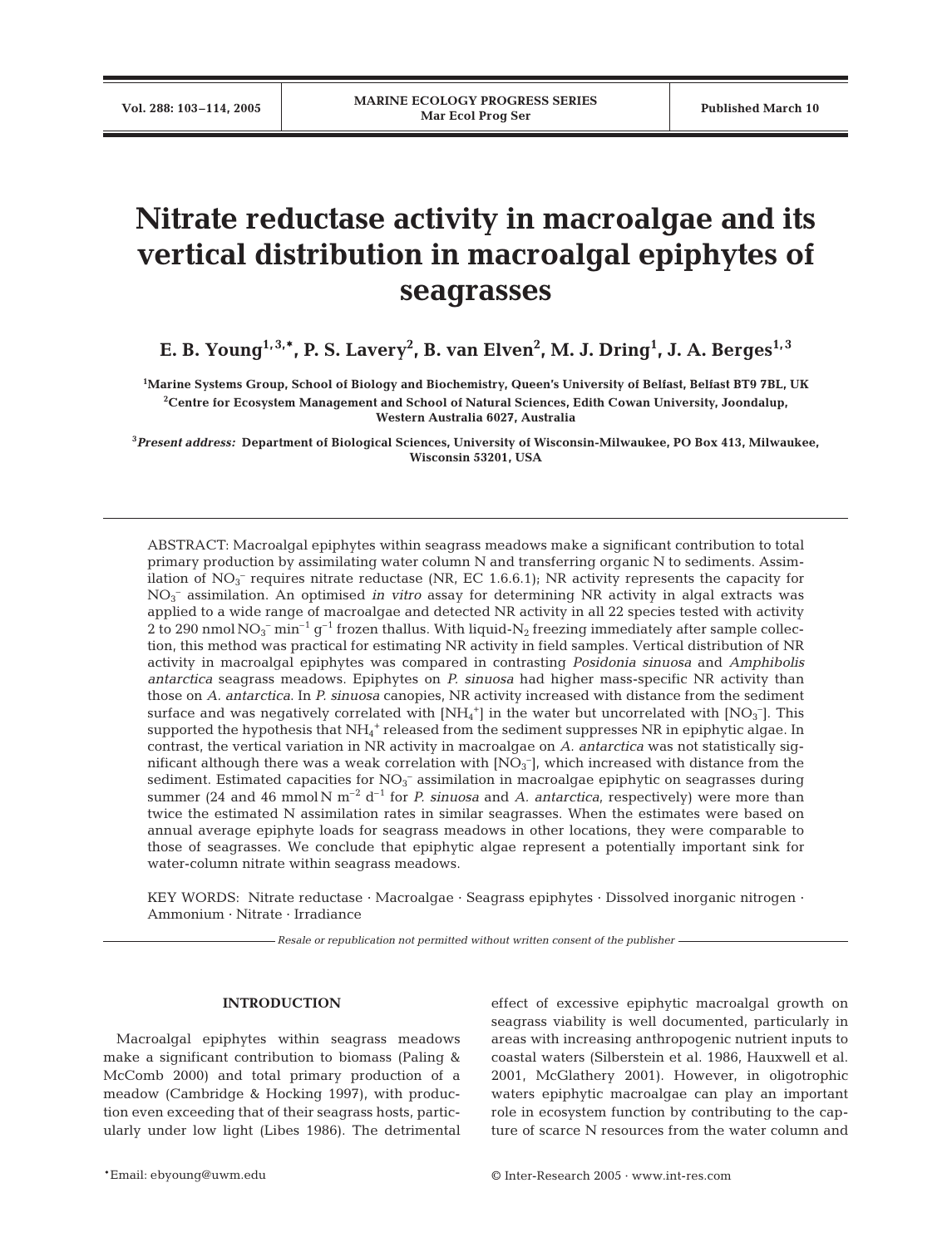# **Nitrate reductase activity in macroalgae and its vertical distribution in macroalgal epiphytes of seagrasses**

**E. B. Young** $^{1,3,*}$ **, P. S. Lavery** $^2$ **, B. van Elven** $^2$ **, M. J. Dring** $^1$ **, J. A. Berges** $^{1,3}$ 

**1 Marine Systems Group, School of Biology and Biochemistry, Queen's University of Belfast, Belfast BT9 7BL, UK 2 Centre for Ecosystem Management and School of Natural Sciences, Edith Cowan University, Joondalup, Western Australia 6027, Australia**

**3** *Present address:* **Department of Biological Sciences, University of Wisconsin-Milwaukee, PO Box 413, Milwaukee, Wisconsin 53201, USA**

ABSTRACT: Macroalgal epiphytes within seagrass meadows make a significant contribution to total primary production by assimilating water column N and transferring organic N to sediments. Assimilation of  $NO_3^-$  requires nitrate reductase (NR, EC 1.6.6.1); NR activity represents the capacity for NO3 – assimilation. An optimised *in vitro* assay for determining NR activity in algal extracts was applied to a wide range of macroalgae and detected NR activity in all 22 species tested with activity 2 to 290 nmol  $\rm NO_3^ \rm min^{-1}$   $\rm g^{-1}$  frozen thallus. With liquid- $\rm N_2$  freezing immediately after sample collection, this method was practical for estimating NR activity in field samples. Vertical distribution of NR activity in macroalgal epiphytes was compared in contrasting *Posidonia sinuosa* and *Amphibolis antarctica* seagrass meadows. Epiphytes on *P. sinuosa* had higher mass-specific NR activity than those on *A. antarctica*. In *P. sinuosa* canopies, NR activity increased with distance from the sediment surface and was negatively correlated with  $\text{[NH}_{4}^+ \text{]}$  in the water but uncorrelated with  $\text{[NO}_{3}^- \text{]}$ . This supported the hypothesis that  $NH_4^+$  released from the sediment suppresses NR in epiphytic algae. In contrast, the vertical variation in NR activity in macroalgae on *A. antarctica* was not statistically significant although there was a weak correlation with  $[{\rm NO}_3^-]$ , which increased with distance from the sediment. Estimated capacities for  $NO_3^-$  assimilation in macroalgae epiphytic on seagrasses during summer (24 and 46 mmol N m<sup>-2</sup> d<sup>-1</sup> for *P. sinuosa* and *A. antarctica*, respectively) were more than twice the estimated N assimilation rates in similar seagrasses. When the estimates were based on annual average epiphyte loads for seagrass meadows in other locations, they were comparable to those of seagrasses. We conclude that epiphytic algae represent a potentially important sink for water-column nitrate within seagrass meadows.

KEY WORDS: Nitrate reductase · Macroalgae · Seagrass epiphytes · Dissolved inorganic nitrogen · Ammonium · Nitrate · Irradiance

*Resale or republication not permitted without written consent of the publisher*

# **INTRODUCTION**

Macroalgal epiphytes within seagrass meadows make a significant contribution to biomass (Paling & McComb 2000) and total primary production of a meadow (Cambridge & Hocking 1997), with production even exceeding that of their seagrass hosts, particularly under low light (Libes 1986). The detrimental effect of excessive epiphytic macroalgal growth on seagrass viability is well documented, particularly in areas with increasing anthropogenic nutrient inputs to coastal waters (Silberstein et al. 1986, Hauxwell et al. 2001, McGlathery 2001). However, in oligotrophic waters epiphytic macroalgae can play an important role in ecosystem function by contributing to the capture of scarce N resources from the water column and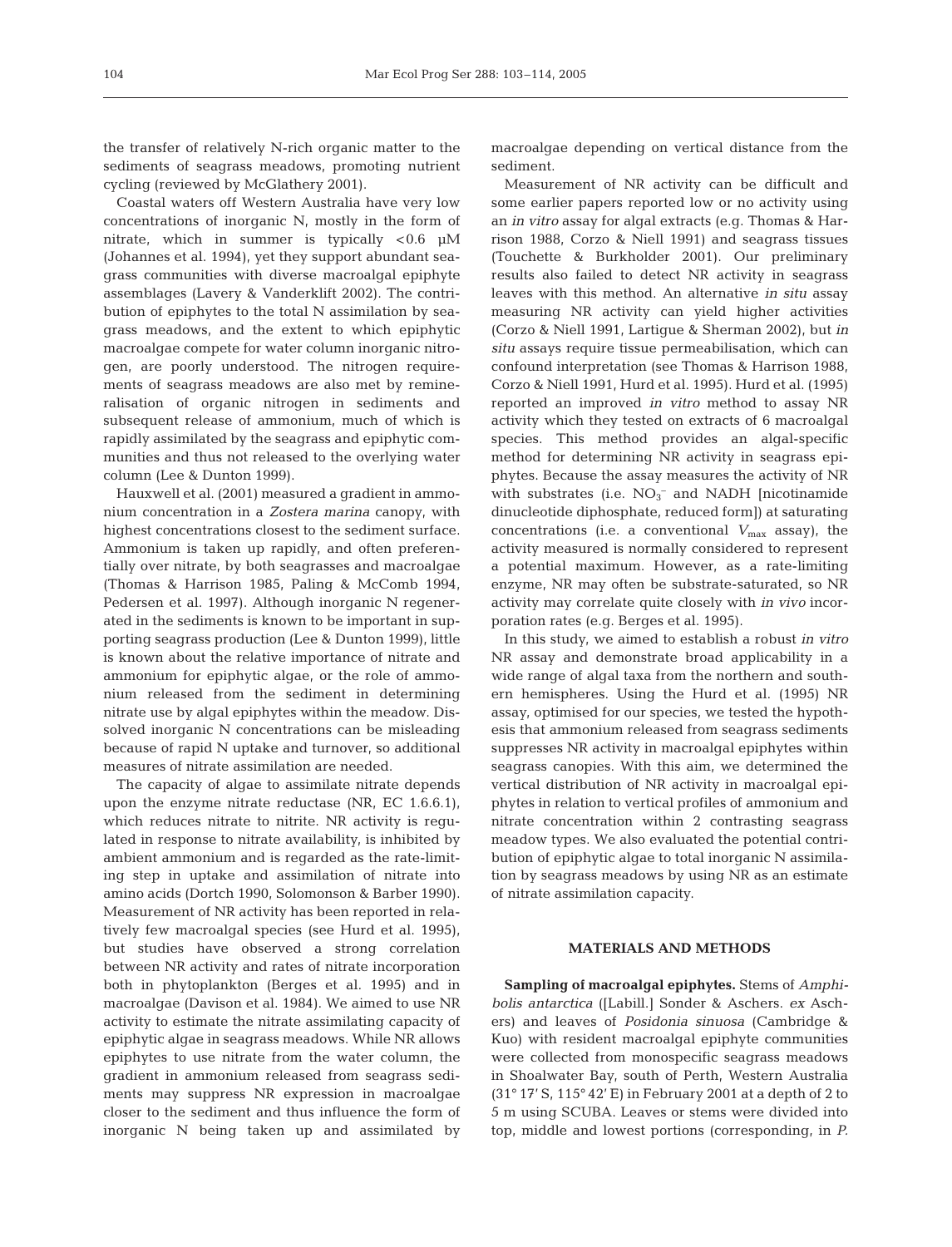the transfer of relatively N-rich organic matter to the sediments of seagrass meadows, promoting nutrient cycling (reviewed by McGlathery 2001).

Coastal waters off Western Australia have very low concentrations of inorganic N, mostly in the form of nitrate, which in summer is typically <0.6 µM (Johannes et al. 1994), yet they support abundant seagrass communities with diverse macroalgal epiphyte assemblages (Lavery & Vanderklift 2002). The contribution of epiphytes to the total N assimilation by seagrass meadows, and the extent to which epiphytic macroalgae compete for water column inorganic nitrogen, are poorly understood. The nitrogen requirements of seagrass meadows are also met by remineralisation of organic nitrogen in sediments and subsequent release of ammonium, much of which is rapidly assimilated by the seagrass and epiphytic communities and thus not released to the overlying water column (Lee & Dunton 1999).

Hauxwell et al. (2001) measured a gradient in ammonium concentration in a *Zostera marina* canopy, with highest concentrations closest to the sediment surface. Ammonium is taken up rapidly, and often preferentially over nitrate, by both seagrasses and macroalgae (Thomas & Harrison 1985, Paling & McComb 1994, Pedersen et al. 1997). Although inorganic N regenerated in the sediments is known to be important in supporting seagrass production (Lee & Dunton 1999), little is known about the relative importance of nitrate and ammonium for epiphytic algae, or the role of ammonium released from the sediment in determining nitrate use by algal epiphytes within the meadow. Dissolved inorganic N concentrations can be misleading because of rapid N uptake and turnover, so additional measures of nitrate assimilation are needed.

The capacity of algae to assimilate nitrate depends upon the enzyme nitrate reductase (NR, EC 1.6.6.1), which reduces nitrate to nitrite. NR activity is regulated in response to nitrate availability, is inhibited by ambient ammonium and is regarded as the rate-limiting step in uptake and assimilation of nitrate into amino acids (Dortch 1990, Solomonson & Barber 1990). Measurement of NR activity has been reported in relatively few macroalgal species (see Hurd et al. 1995), but studies have observed a strong correlation between NR activity and rates of nitrate incorporation both in phytoplankton (Berges et al. 1995) and in macroalgae (Davison et al. 1984). We aimed to use NR activity to estimate the nitrate assimilating capacity of epiphytic algae in seagrass meadows. While NR allows epiphytes to use nitrate from the water column, the gradient in ammonium released from seagrass sediments may suppress NR expression in macroalgae closer to the sediment and thus influence the form of inorganic N being taken up and assimilated by macroalgae depending on vertical distance from the sediment.

Measurement of NR activity can be difficult and some earlier papers reported low or no activity using an *in vitro* assay for algal extracts (e.g. Thomas & Harrison 1988, Corzo & Niell 1991) and seagrass tissues (Touchette & Burkholder 2001). Our preliminary results also failed to detect NR activity in seagrass leaves with this method. An alternative *in situ* assay measuring NR activity can yield higher activities (Corzo & Niell 1991, Lartigue & Sherman 2002), but *in situ* assays require tissue permeabilisation, which can confound interpretation (see Thomas & Harrison 1988, Corzo & Niell 1991, Hurd et al. 1995). Hurd et al. (1995) reported an improved *in vitro* method to assay NR activity which they tested on extracts of 6 macroalgal species. This method provides an algal-specific method for determining NR activity in seagrass epiphytes. Because the assay measures the activity of NR with substrates (i.e.  $NO<sub>3</sub><sup>-</sup>$  and NADH [nicotinamide dinucleotide diphosphate, reduced form]) at saturating concentrations (i.e. a conventional  $V_{\text{max}}$  assay), the activity measured is normally considered to represent a potential maximum. However, as a rate-limiting enzyme, NR may often be substrate-saturated, so NR activity may correlate quite closely with *in vivo* incorporation rates (e.g. Berges et al. 1995).

In this study, we aimed to establish a robust *in vitro* NR assay and demonstrate broad applicability in a wide range of algal taxa from the northern and southern hemispheres. Using the Hurd et al. (1995) NR assay, optimised for our species, we tested the hypothesis that ammonium released from seagrass sediments suppresses NR activity in macroalgal epiphytes within seagrass canopies. With this aim, we determined the vertical distribution of NR activity in macroalgal epiphytes in relation to vertical profiles of ammonium and nitrate concentration within 2 contrasting seagrass meadow types. We also evaluated the potential contribution of epiphytic algae to total inorganic N assimilation by seagrass meadows by using NR as an estimate of nitrate assimilation capacity.

#### **MATERIALS AND METHODS**

**Sampling of macroalgal epiphytes.** Stems of *Amphibolis antarctica* ([Labill.] Sonder & Aschers. *ex* Aschers) and leaves of *Posidonia sinuosa* (Cambridge & Kuo) with resident macroalgal epiphyte communities were collected from monospecific seagrass meadows in Shoalwater Bay, south of Perth, Western Australia (31° 17' S, 115° 42' E) in February 2001 at a depth of 2 to 5 m using SCUBA. Leaves or stems were divided into top, middle and lowest portions (corresponding, in *P.*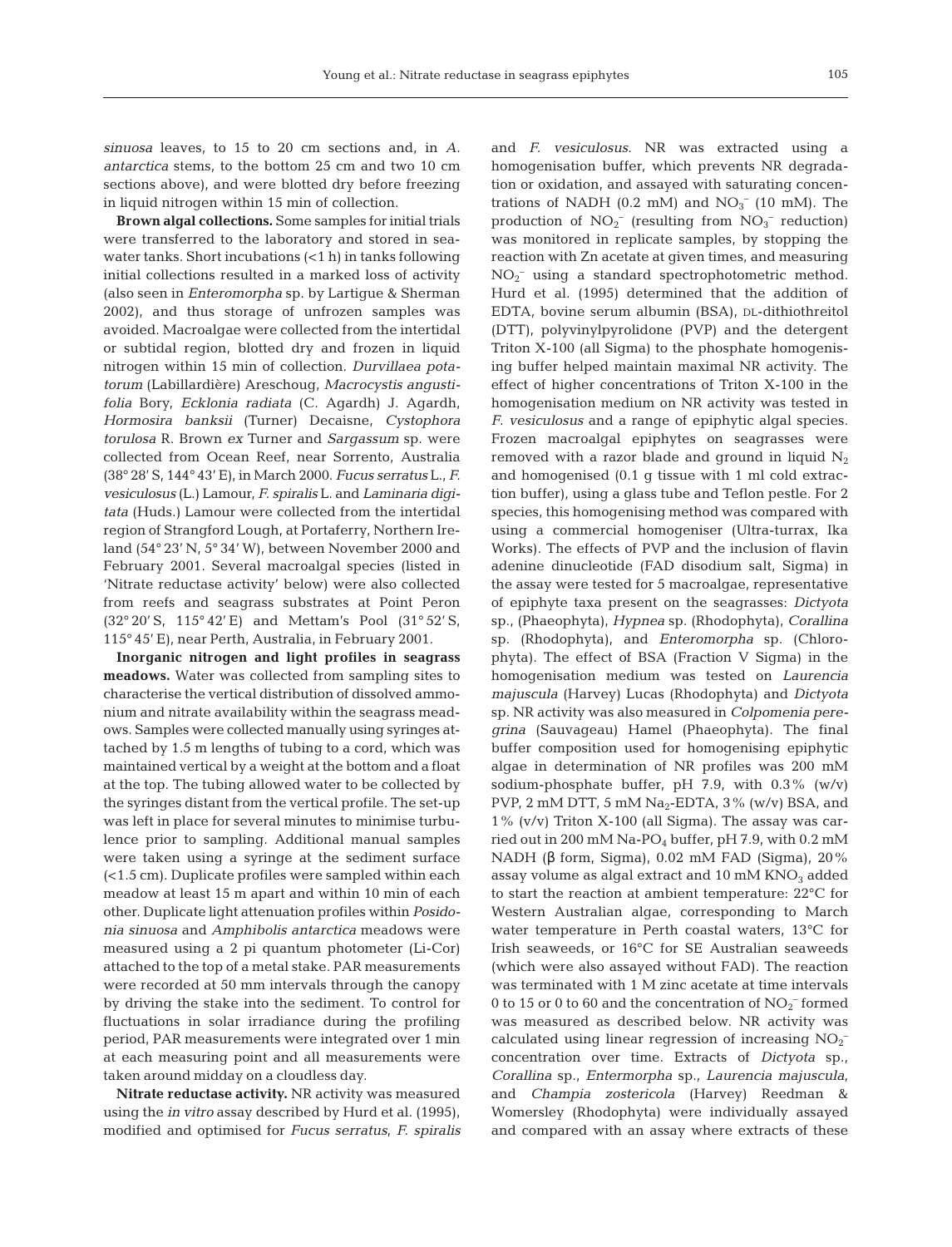*sinuosa* leaves, to 15 to 20 cm sections and, in *A. antarctica* stems, to the bottom 25 cm and two 10 cm sections above), and were blotted dry before freezing in liquid nitrogen within 15 min of collection.

**Brown algal collections.** Some samples for initial trials were transferred to the laboratory and stored in seawater tanks. Short incubations (<1 h) in tanks following initial collections resulted in a marked loss of activity (also seen in *Enteromorpha* sp. by Lartigue & Sherman 2002), and thus storage of unfrozen samples was avoided. Macroalgae were collected from the intertidal or subtidal region, blotted dry and frozen in liquid nitrogen within 15 min of collection. *Durvillaea potatorum* (Labillardière) Areschoug, *Macrocystis angustifolia* Bory, *Ecklonia radiata* (C. Agardh) J. Agardh, *Hormosira banksii* (Turner) Decaisne, *Cystophora torulosa* R. Brown *ex* Turner and *Sargassum* sp. were collected from Ocean Reef, near Sorrento, Australia (38° 28' S, 144° 43' E), in March 2000. *Fucus serratus* L., *F. vesiculosus* (L.) Lamour, *F. spiralis* L. and *Laminaria digitata* (Huds.) Lamour were collected from the intertidal region of Strangford Lough, at Portaferry, Northern Ireland (54° 23' N, 5° 34' W), between November 2000 and February 2001. Several macroalgal species (listed in 'Nitrate reductase activity' below) were also collected from reefs and seagrass substrates at Point Peron (32° 20' S, 115° 42' E) and Mettam's Pool (31° 52' S, 115° 45' E), near Perth, Australia, in February 2001.

**Inorganic nitrogen and light profiles in seagrass meadows.** Water was collected from sampling sites to characterise the vertical distribution of dissolved ammonium and nitrate availability within the seagrass meadows. Samples were collected manually using syringes attached by 1.5 m lengths of tubing to a cord, which was maintained vertical by a weight at the bottom and a float at the top. The tubing allowed water to be collected by the syringes distant from the vertical profile. The set-up was left in place for several minutes to minimise turbulence prior to sampling. Additional manual samples were taken using a syringe at the sediment surface (<1.5 cm). Duplicate profiles were sampled within each meadow at least 15 m apart and within 10 min of each other. Duplicate light attenuation profiles within *Posidonia sinuosa* and *Amphibolis antarctica* meadows were measured using a 2 pi quantum photometer (Li-Cor) attached to the top of a metal stake. PAR measurements were recorded at 50 mm intervals through the canopy by driving the stake into the sediment. To control for fluctuations in solar irradiance during the profiling period, PAR measurements were integrated over 1 min at each measuring point and all measurements were taken around midday on a cloudless day.

**Nitrate reductase activity.** NR activity was measured using the *in vitro* assay described by Hurd et al. (1995), modified and optimised for *Fucus serratus*, *F. spiralis* and *F. vesiculosus*. NR was extracted using a homogenisation buffer, which prevents NR degradation or oxidation, and assayed with saturating concentrations of NADH (0.2 mM) and  $NO<sub>3</sub><sup>-</sup>$  (10 mM). The production of  $NO_2^-$  (resulting from  $NO_3^-$  reduction) was monitored in replicate samples, by stopping the reaction with Zn acetate at given times, and measuring  $NO<sub>2</sub><sup>-</sup>$  using a standard spectrophotometric method. Hurd et al. (1995) determined that the addition of EDTA, bovine serum albumin (BSA), DL-dithiothreitol (DTT), polyvinylpyrolidone (PVP) and the detergent Triton X-100 (all Sigma) to the phosphate homogenising buffer helped maintain maximal NR activity. The effect of higher concentrations of Triton X-100 in the homogenisation medium on NR activity was tested in *F*. *vesiculosus* and a range of epiphytic algal species. Frozen macroalgal epiphytes on seagrasses were removed with a razor blade and ground in liquid  $N_2$ and homogenised (0.1 g tissue with 1 ml cold extraction buffer), using a glass tube and Teflon pestle. For 2 species, this homogenising method was compared with using a commercial homogeniser (Ultra-turrax, Ika Works). The effects of PVP and the inclusion of flavin adenine dinucleotide (FAD disodium salt, Sigma) in the assay were tested for 5 macroalgae, representative of epiphyte taxa present on the seagrasses: *Dictyota* sp., (Phaeophyta), *Hypnea* sp. (Rhodophyta), *Corallina* sp. (Rhodophyta), and *Enteromorpha* sp. (Chlorophyta). The effect of BSA (Fraction V Sigma) in the homogenisation medium was tested on *Laurencia majuscula* (Harvey) Lucas (Rhodophyta) and *Dictyota* sp. NR activity was also measured in *Colpomenia peregrina* (Sauvageau) Hamel (Phaeophyta). The final buffer composition used for homogenising epiphytic algae in determination of NR profiles was 200 mM sodium-phosphate buffer, pH 7.9, with  $0.3\%$  (w/v) PVP, 2 mM DTT, 5 mM  $Na<sub>2</sub>$ -EDTA, 3% (w/v) BSA, and 1% (v/v) Triton X-100 (all Sigma). The assay was carried out in 200 mM Na-PO4 buffer, pH 7.9, with 0.2 mM NADH (β form, Sigma), 0.02 mM FAD (Sigma), 20% assay volume as algal extract and  $10 \text{ mM KNO}_3$  added to start the reaction at ambient temperature: 22°C for Western Australian algae, corresponding to March water temperature in Perth coastal waters, 13°C for Irish seaweeds, or 16°C for SE Australian seaweeds (which were also assayed without FAD). The reaction was terminated with 1 M zinc acetate at time intervals 0 to 15 or 0 to 60 and the concentration of  $\mathrm{NO_2^-}$  formed was measured as described below. NR activity was calculated using linear regression of increasing  $NO_2^$ concentration over time. Extracts of *Dictyota* sp.*, Corallina* sp., *Entermorpha* sp., *Laurencia majuscula*, and *Champia zostericola* (Harvey) Reedman & Womersley (Rhodophyta) were individually assayed and compared with an assay where extracts of these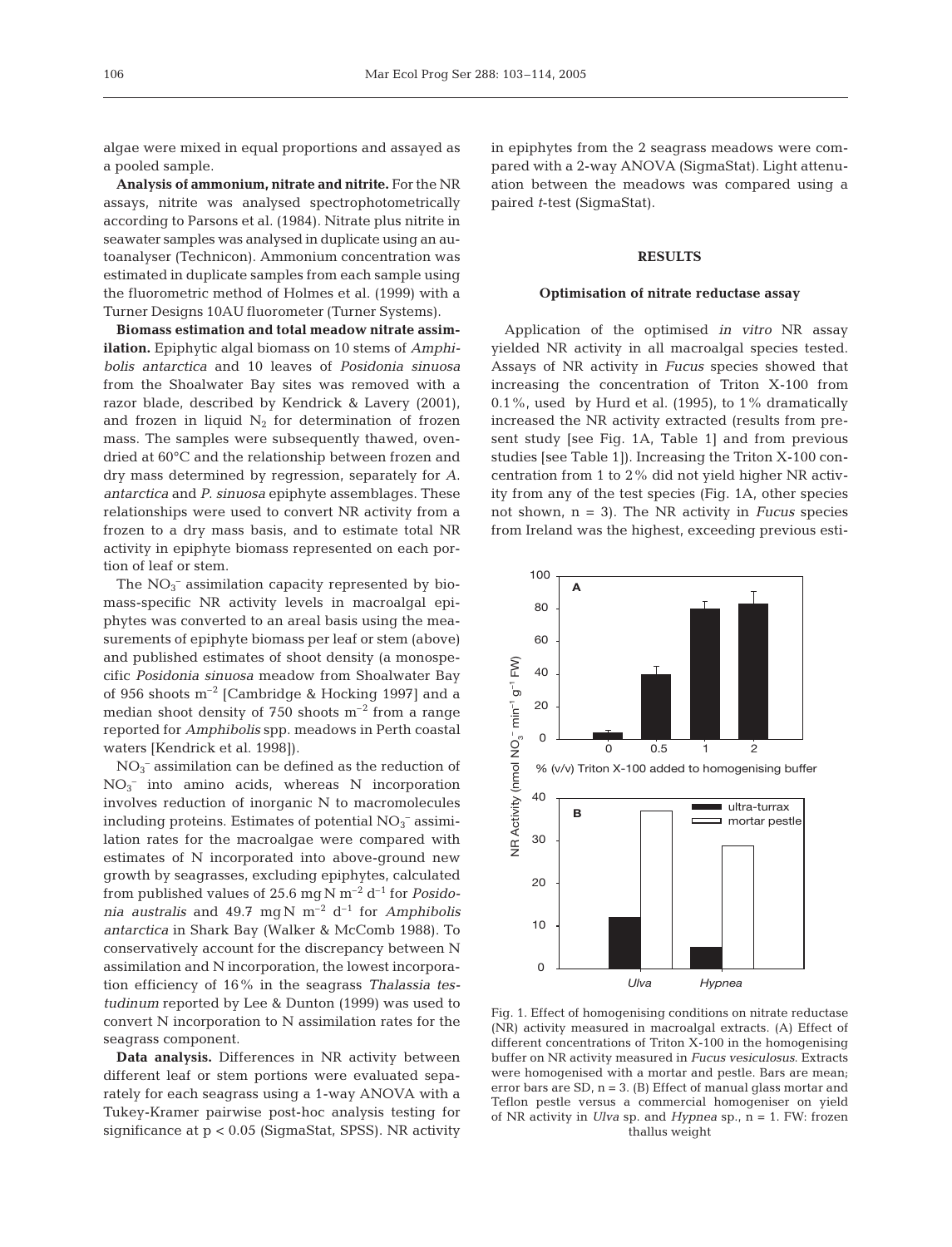algae were mixed in equal proportions and assayed as a pooled sample.

**Analysis of ammonium, nitrate and nitrite.** For the NR assays, nitrite was analysed spectrophotometrically according to Parsons et al. (1984). Nitrate plus nitrite in seawater samples was analysed in duplicate using an autoanalyser (Technicon). Ammonium concentration was estimated in duplicate samples from each sample using the fluorometric method of Holmes et al. (1999) with a Turner Designs 10AU fluorometer (Turner Systems).

**Biomass estimation and total meadow nitrate assimilation.** Epiphytic algal biomass on 10 stems of *Amphibolis antarctica* and 10 leaves of *Posidonia sinuosa* from the Shoalwater Bay sites was removed with a razor blade, described by Kendrick & Lavery (2001), and frozen in liquid  $N_2$  for determination of frozen mass. The samples were subsequently thawed, ovendried at 60°C and the relationship between frozen and dry mass determined by regression, separately for *A*. *antarctica* and *P*. *sinuosa* epiphyte assemblages. These relationships were used to convert NR activity from a frozen to a dry mass basis, and to estimate total NR activity in epiphyte biomass represented on each portion of leaf or stem.

The  $NO<sub>3</sub><sup>-</sup>$  assimilation capacity represented by biomass-specific NR activity levels in macroalgal epiphytes was converted to an areal basis using the measurements of epiphyte biomass per leaf or stem (above) and published estimates of shoot density (a monospecific *Posidonia sinuosa* meadow from Shoalwater Bay of 956 shoots  $m^{-2}$  [Cambridge & Hocking 1997] and a median shoot density of 750 shoots  $m^{-2}$  from a range reported for *Amphibolis* spp. meadows in Perth coastal waters [Kendrick et al. 1998]).

NO3 – assimilation can be defined as the reduction of NO3 – into amino acids, whereas N incorporation involves reduction of inorganic N to macromolecules including proteins. Estimates of potential  $NO<sub>3</sub><sup>-</sup>$  assimilation rates for the macroalgae were compared with estimates of N incorporated into above-ground new growth by seagrasses, excluding epiphytes, calculated from published values of 25.6 mg N m–2 d–1 for *Posidonia australis* and 49.7 mg N  $m^{-2}$  d<sup>-1</sup> for *Amphibolis antarctica* in Shark Bay (Walker & McComb 1988). To conservatively account for the discrepancy between N assimilation and N incorporation, the lowest incorporation efficiency of 16% in the seagrass *Thalassia testudinum* reported by Lee & Dunton (1999) was used to convert N incorporation to N assimilation rates for the seagrass component.

**Data analysis.** Differences in NR activity between different leaf or stem portions were evaluated separately for each seagrass using a 1-way ANOVA with a Tukey-Kramer pairwise post-hoc analysis testing for significance at p < 0.05 (SigmaStat, SPSS). NR activity

in epiphytes from the 2 seagrass meadows were compared with a 2-way ANOVA (SigmaStat). Light attenuation between the meadows was compared using a paired *t*-test (SigmaStat).

#### **RESULTS**

## **Optimisation of nitrate reductase assay**

Application of the optimised *in vitro* NR assay yielded NR activity in all macroalgal species tested. Assays of NR activity in *Fucus* species showed that increasing the concentration of Triton X-100 from 0.1%, used by Hurd et al. (1995), to 1% dramatically increased the NR activity extracted (results from present study [see Fig. 1A, Table 1] and from previous studies [see Table 1]). Increasing the Triton X-100 concentration from 1 to 2% did not yield higher NR activity from any of the test species (Fig. 1A, other species not shown, n = 3). The NR activity in *Fucus* species from Ireland was the highest, exceeding previous esti-



Fig. 1. Effect of homogenising conditions on nitrate reductase (NR) activity measured in macroalgal extracts. (A) Effect of different concentrations of Triton X-100 in the homogenising buffer on NR activity measured in *Fucus vesiculosus*. Extracts were homogenised with a mortar and pestle. Bars are mean; error bars are SD, n = 3. (B) Effect of manual glass mortar and Teflon pestle versus a commercial homogeniser on yield of NR activity in *Ulva* sp. and *Hypnea* sp., n = 1. FW: frozen thallus weight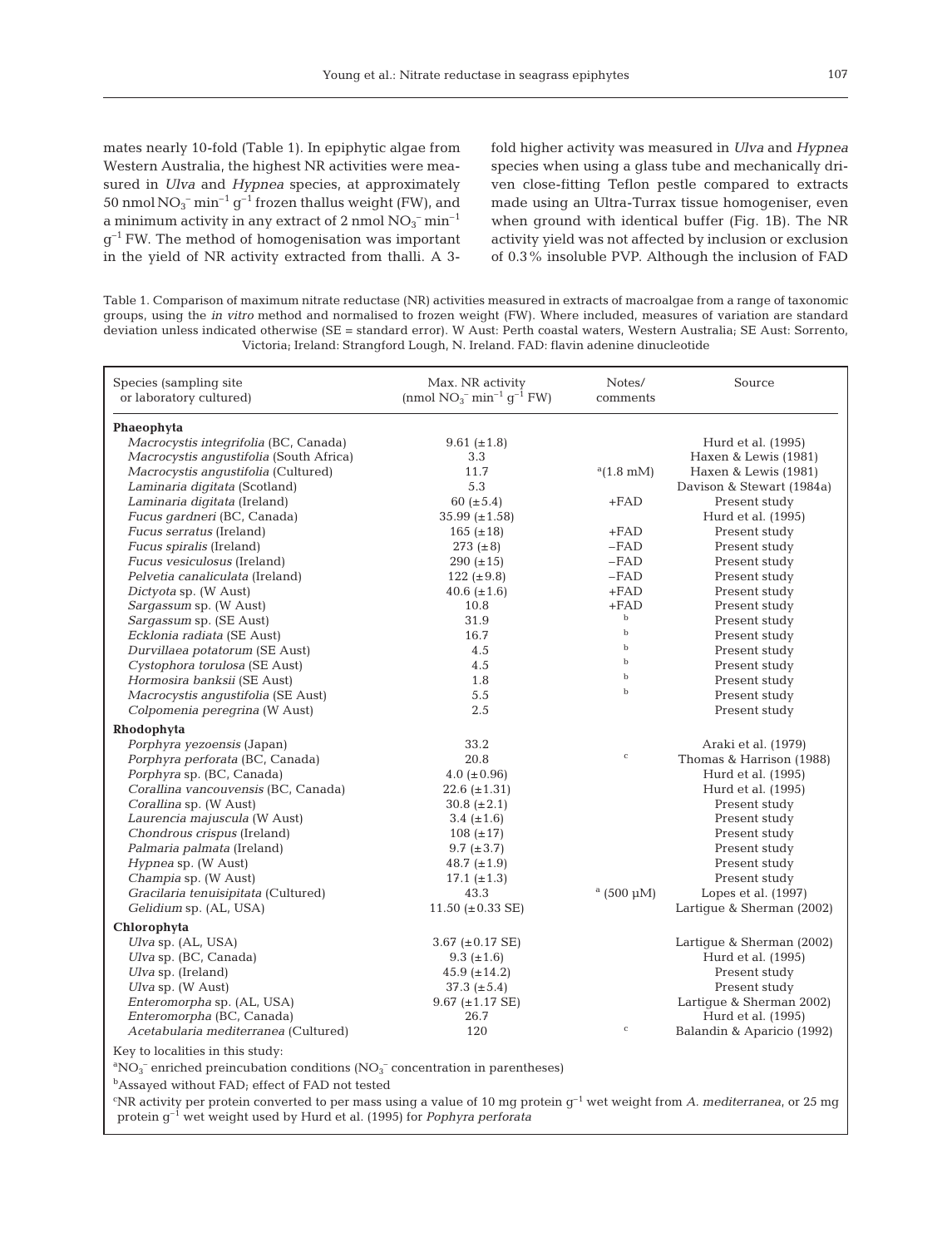mates nearly 10-fold (Table 1). In epiphytic algae from Western Australia, the highest NR activities were measured in *Ulva* and *Hypnea* species, at approximately 50 nmol  $NO_3^-$  min<sup>-1</sup> g<sup>-1</sup> frozen thallus weight (FW), and a minimum activity in any extract of  $2 \text{ nmol NO}_3^- \text{min}^{-1}$  $q^{-1}$  FW. The method of homogenisation was important in the yield of NR activity extracted from thalli. A 3fold higher activity was measured in *Ulva* and *Hypnea* species when using a glass tube and mechanically driven close-fitting Teflon pestle compared to extracts made using an Ultra-Turrax tissue homogeniser, even when ground with identical buffer (Fig. 1B). The NR activity yield was not affected by inclusion or exclusion of 0.3% insoluble PVP. Although the inclusion of FAD

Table 1. Comparison of maximum nitrate reductase (NR) activities measured in extracts of macroalgae from a range of taxonomic groups, using the *in vitro* method and normalised to frozen weight (FW). Where included, measures of variation are standard deviation unless indicated otherwise (SE = standard error). W Aust: Perth coastal waters, Western Australia; SE Aust: Sorrento, Victoria; Ireland: Strangford Lough, N. Ireland. FAD: flavin adenine dinucleotide

| Species (sampling site<br>or laboratory cultured)                                                                          | Max. NR activity<br>Notes/<br>(nmol $NO_3^-$ min <sup>-1</sup> $q^{-1}$ FW)<br>comments |                     | Source                     |  |  |  |  |
|----------------------------------------------------------------------------------------------------------------------------|-----------------------------------------------------------------------------------------|---------------------|----------------------------|--|--|--|--|
| Phaeophyta                                                                                                                 |                                                                                         |                     |                            |  |  |  |  |
| Macrocystis integrifolia (BC, Canada)                                                                                      | $9.61 (\pm 1.8)$                                                                        |                     | Hurd et al. (1995)         |  |  |  |  |
| Macrocystis angustifolia (South Africa)                                                                                    | 3.3                                                                                     |                     | Haxen & Lewis (1981)       |  |  |  |  |
| Macrocystis angustifolia (Cultured)                                                                                        | 11.7                                                                                    | $a(1.8 \text{ mM})$ | Haxen & Lewis (1981)       |  |  |  |  |
| Laminaria digitata (Scotland)                                                                                              | 5.3                                                                                     |                     | Davison & Stewart (1984a)  |  |  |  |  |
| Laminaria digitata (Ireland)                                                                                               | 60 ( $\pm$ 5.4)                                                                         | $+FAD$              | Present study              |  |  |  |  |
| Fucus gardneri (BC, Canada)                                                                                                | $35.99 \ (\pm 1.58)$                                                                    |                     | Hurd et al. (1995)         |  |  |  |  |
| <i>Fucus serratus</i> (Ireland)                                                                                            | 165 $(\pm 18)$                                                                          | $+FAD$              | Present study              |  |  |  |  |
| <i>Fucus spiralis</i> (Ireland)                                                                                            | 273 $(\pm 8)$                                                                           | $-FAD$              | Present study              |  |  |  |  |
| Fucus vesiculosus (Ireland)                                                                                                | $290 (\pm 15)$                                                                          | $-FAD$              | Present study              |  |  |  |  |
| Pelvetia canaliculata (Ireland)                                                                                            | 122 ( $\pm$ 9.8)                                                                        | $-FAD$              | Present study              |  |  |  |  |
| Dictyota sp. (W Aust)                                                                                                      | 40.6 $(\pm 1.6)$                                                                        | $+FAD$              | Present study              |  |  |  |  |
| Sargassum sp. (W Aust)                                                                                                     | 10.8                                                                                    | $+FAD$              | Present study              |  |  |  |  |
| Sargassum sp. (SE Aust)                                                                                                    | 31.9                                                                                    | $_{\rm b}$          | Present study              |  |  |  |  |
| Ecklonia radiata (SE Aust)                                                                                                 | 16.7                                                                                    | $_{\rm b}$          | Present study              |  |  |  |  |
| Durvillaea potatorum (SE Aust)                                                                                             | 4.5                                                                                     | $_{\rm b}$          | Present study              |  |  |  |  |
| Cystophora torulosa (SE Aust)                                                                                              | 4.5                                                                                     | $\mathbf b$         | Present study              |  |  |  |  |
| Hormosira banksii (SE Aust)                                                                                                | 1.8                                                                                     | $\mathbf b$         | Present study              |  |  |  |  |
| Macrocystis angustifolia (SE Aust)                                                                                         | 5.5                                                                                     | $\mathbf b$         | Present study              |  |  |  |  |
| Colpomenia peregrina (W Aust)                                                                                              | 2.5                                                                                     |                     | Present study              |  |  |  |  |
|                                                                                                                            |                                                                                         |                     |                            |  |  |  |  |
| Rhodophyta                                                                                                                 |                                                                                         |                     |                            |  |  |  |  |
| Porphyra yezoensis (Japan)                                                                                                 | 33.2                                                                                    | $\mathsf C$         | Araki et al. (1979)        |  |  |  |  |
| Porphyra perforata (BC, Canada)                                                                                            | 20.8                                                                                    |                     | Thomas & Harrison (1988)   |  |  |  |  |
| <i>Porphyra</i> sp. (BC, Canada)                                                                                           | 4.0 ( $\pm$ 0.96)                                                                       |                     | Hurd et al. (1995)         |  |  |  |  |
| Corallina vancouvensis (BC, Canada)                                                                                        | $22.6 (\pm 1.31)$                                                                       |                     | Hurd et al. (1995)         |  |  |  |  |
| Corallina sp. (W Aust)                                                                                                     | $30.8 (\pm 2.1)$                                                                        |                     | Present study              |  |  |  |  |
| Laurencia majuscula (W Aust)                                                                                               | 3.4 $(\pm 1.6)$                                                                         |                     | Present study              |  |  |  |  |
| Chondrous crispus (Ireland)                                                                                                | $108 (\pm 17)$                                                                          |                     | Present study              |  |  |  |  |
| Palmaria palmata (Ireland)                                                                                                 | $9.7~(\pm 3.7)$                                                                         |                     | Present study              |  |  |  |  |
| Hypnea sp. (W Aust)                                                                                                        | 48.7 $(\pm 1.9)$                                                                        |                     | Present study              |  |  |  |  |
| Champia sp. (W Aust)                                                                                                       | 17.1 $(\pm 1.3)$                                                                        |                     | Present study              |  |  |  |  |
| Gracilaria tenuisipitata (Cultured)                                                                                        | 43.3                                                                                    | $^{\rm a}$ (500 µM) | Lopes et al. (1997)        |  |  |  |  |
| Gelidium sp. (AL, USA)                                                                                                     | 11.50 ( $\pm$ 0.33 SE)                                                                  |                     | Lartique & Sherman (2002)  |  |  |  |  |
| Chlorophyta                                                                                                                |                                                                                         |                     |                            |  |  |  |  |
| Ulva sp. (AL, USA)                                                                                                         | 3.67 $(\pm 0.17 \text{ SE})$                                                            |                     | Lartique & Sherman (2002)  |  |  |  |  |
| Ulva sp. (BC, Canada)                                                                                                      | 9.3 $(\pm 1.6)$                                                                         |                     | Hurd et al. (1995)         |  |  |  |  |
| $U$ <i>lva</i> sp. (Ireland)                                                                                               | 45.9 $(\pm 14.2)$                                                                       |                     | Present study              |  |  |  |  |
| Ulva sp. (W Aust)                                                                                                          | $37.3~(\pm 5.4)$                                                                        |                     | Present study              |  |  |  |  |
| Enteromorpha sp. (AL, USA)                                                                                                 | $9.67 \ (\pm 1.17 \ \text{SE})$                                                         |                     | Lartigue & Sherman 2002)   |  |  |  |  |
| Enteromorpha (BC, Canada)                                                                                                  | 26.7                                                                                    |                     | Hurd et al. (1995)         |  |  |  |  |
| Acetabularia mediterranea (Cultured)                                                                                       | 120                                                                                     | $\mathsf{C}$        | Balandin & Aparicio (1992) |  |  |  |  |
| Key to localities in this study:                                                                                           |                                                                                         |                     |                            |  |  |  |  |
| ${}^{\text{a}}\text{NO}_3^-$ enriched preincubation conditions (NO <sub>3</sub> <sup>-</sup> concentration in parentheses) |                                                                                         |                     |                            |  |  |  |  |
| <sup>b</sup> Assayed without FAD; effect of FAD not tested                                                                 |                                                                                         |                     |                            |  |  |  |  |
| $\mathbf{c}$ in $\mathbf{b}$ and $\mathbf{c}$ is the contract of $\mathbf{c}$ is the contract of $\mathbf{d}$ is a second  |                                                                                         |                     |                            |  |  |  |  |

c NR activity per protein converted to per mass using a value of 10 mg protein g–1 wet weight from *A. mediterranea*, or 25 mg protein g–1 wet weight used by Hurd et al. (1995) for *Pophyra perforata*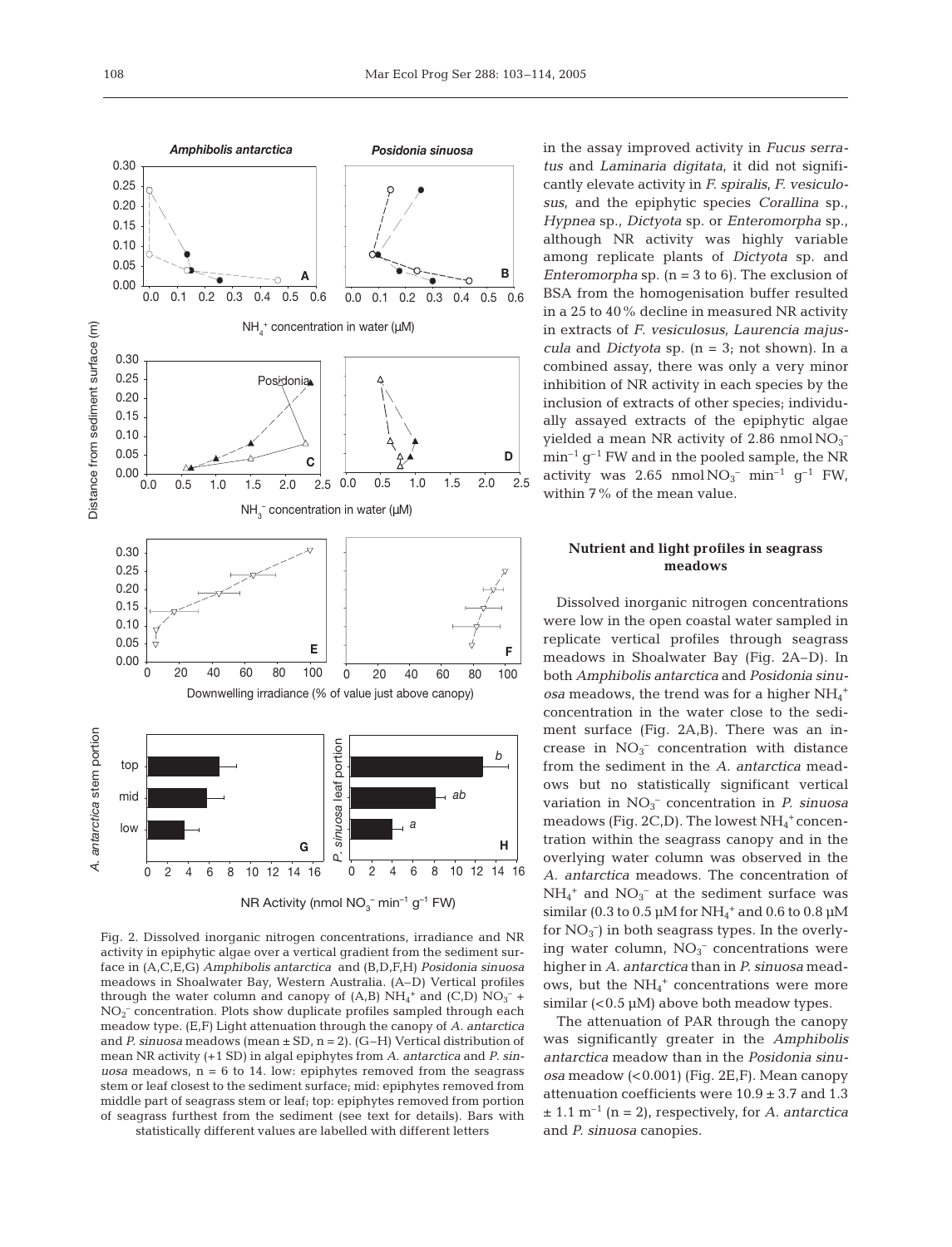

NR Activity (nmol  $NO_3^-$  min<sup>-1</sup> g<sup>-1</sup> FW)

Fig. 2. Dissolved inorganic nitrogen concentrations, irradiance and NR activity in epiphytic algae over a vertical gradient from the sediment surface in (A,C,E,G) *Amphibolis antarctica* and (B,D,F,H) *Posidonia sinuosa* meadows in Shoalwater Bay, Western Australia. (A–D) Vertical profiles through the water column and canopy of  $(A,B)$   $NH_4^+$  and  $(C,D)$   $NO_3^-$  + NO<sub>2</sub><sup>-</sup> concentration. Plots show duplicate profiles sampled through each meadow type. (E,F) Light attenuation through the canopy of *A*. *antarctica* and *P. sinuosa* meadows (mean ± SD, n = 2). (G–H) Vertical distribution of mean NR activity (+1 SD) in algal epiphytes from *A*. *antarctica* and *P*. *sinuosa* meadows, n = 6 to 14. low: epiphytes removed from the seagrass stem or leaf closest to the sediment surface; mid: epiphytes removed from middle part of seagrass stem or leaf; top: epiphytes removed from portion of seagrass furthest from the sediment (see text for details). Bars with statistically different values are labelled with different letters

in the assay improved activity in *Fucus serratus* and *Laminaria digitata*, it did not significantly elevate activity in *F. spiralis*, *F. vesiculosus*, and the epiphytic species *Corallina* sp., *Hypnea* sp., *Dictyota* sp. or *Enteromorpha* sp., although NR activity was highly variable among replicate plants of *Dictyota* sp. and *Enteromorpha* sp. (n = 3 to 6). The exclusion of BSA from the homogenisation buffer resulted in a 25 to 40% decline in measured NR activity in extracts of *F*. *vesiculosus*, *Laurencia majuscula* and *Dictyota* sp. (n = 3; not shown). In a combined assay, there was only a very minor inhibition of NR activity in each species by the inclusion of extracts of other species; individually assayed extracts of the epiphytic algae yielded a mean NR activity of 2.86 nmol $NO<sub>3</sub>$ <sup>-</sup>  $\min^{-1}$  g<sup>-1</sup> FW and in the pooled sample, the NR activity was  $2.65 \text{ mmol} \text{NO}_3 \text{ cm}^{-1} \text{ g}^{-1} \text{FW}$ , within 7% of the mean value.

# **Nutrient and light profiles in seagrass meadows**

Dissolved inorganic nitrogen concentrations were low in the open coastal water sampled in replicate vertical profiles through seagrass meadows in Shoalwater Bay (Fig. 2A–D). In both *Amphibolis antarctica* and *Posidonia sinu-* $\emph{osa}$  meadows, the trend was for a higher  $\rm NH_4{}^+$ concentration in the water close to the sediment surface (Fig. 2A,B). There was an increase in  $NO<sub>3</sub><sup>-</sup>$  concentration with distance from the sediment in the *A. antarctica* meadows but no statistically significant vertical variation in  $NO<sub>3</sub><sup>-</sup>$  concentration in *P. sinuosa* meadows (Fig. 2C,D). The lowest  $NH_4$ <sup>+</sup> concentration within the seagrass canopy and in the overlying water column was observed in the *A. antarctica* meadows. The concentration of  $NH_4^+$  and  $NO_3^-$  at the sediment surface was similar (0.3 to 0.5  $\mu$ M for NH<sub>4</sub><sup>+</sup> and 0.6 to 0.8  $\mu$ M for  $NO<sub>3</sub><sup>-</sup>$ ) in both seagrass types. In the overlying water column,  $NO<sub>3</sub><sup>-</sup>$  concentrations were higher in *A. antarctica* than in *P. sinuosa* meadows, but the  $NH_4^+$  concentrations were more similar  $( $0.5 \mu M$ ) above both meadow types.$ 

The attenuation of PAR through the canopy was significantly greater in the *Amphibolis antarctica* meadow than in the *Posidonia sinuosa* meadow (<0.001) (Fig. 2E,F). Mean canopy attenuation coefficients were  $10.9 \pm 3.7$  and 1.3  $\pm$  1.1 m<sup>-1</sup> (n = 2), respectively, for *A. antarctica* and *P. sinuosa* canopies.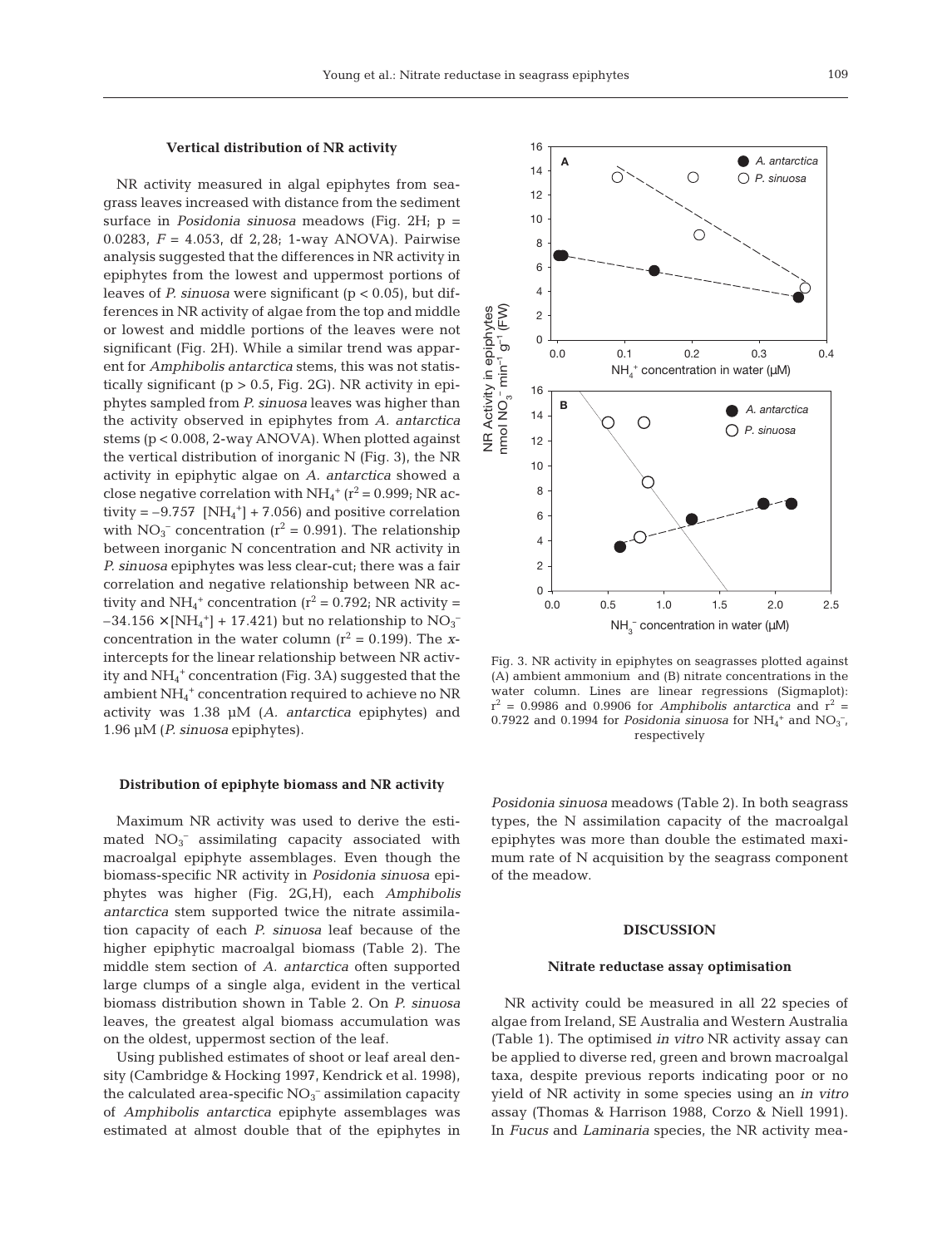## **Vertical distribution of NR activity**

NR activity measured in algal epiphytes from seagrass leaves increased with distance from the sediment surface in *Posidonia sinuosa* meadows (Fig. 2H; p = 0.0283, *F* = 4.053, df 2,28; 1-way ANOVA). Pairwise analysis suggested that the differences in NR activity in epiphytes from the lowest and uppermost portions of leaves of *P. sinuosa* were significant (p < 0.05), but differences in NR activity of algae from the top and middle or lowest and middle portions of the leaves were not significant (Fig. 2H). While a similar trend was apparent for *Amphibolis antarctica* stems, this was not statistically significant ( $p > 0.5$ , Fig. 2G). NR activity in epiphytes sampled from *P. sinuosa* leaves was higher than the activity observed in epiphytes from *A. antarctica* stems (p < 0.008, 2-way ANOVA). When plotted against the vertical distribution of inorganic N (Fig. 3), the NR activity in epiphytic algae on *A. antarctica* showed a close negative correlation with  $NH_4^+$  ( $r^2 = 0.999$ ; NR activity =  $-9.757$  [NH<sub>4</sub><sup>+</sup>] + 7.056) and positive correlation with  $NO_3^-$  concentration ( $r^2 = 0.991$ ). The relationship between inorganic N concentration and NR activity in *P. sinuosa* epiphytes was less clear-cut; there was a fair correlation and negative relationship between NR activity and  $NH_4^+$  concentration ( $r^2$  = 0.792; NR activity =  $-34.156 \times [NH_4^+] + 17.421$ ) but no relationship to  $NO_3^$ concentration in the water column  $(r^2 = 0.199)$ . The *x*intercepts for the linear relationship between NR activity and NH4 <sup>+</sup> concentration (Fig. 3A) suggested that the ambient NH4 <sup>+</sup> concentration required to achieve no NR activity was 1.38 µM (*A. antarctica* epiphytes) and 1.96 µM (*P. sinuosa* epiphytes).

## **Distribution of epiphyte biomass and NR activity**

Maximum NR activity was used to derive the estimated NO<sub>3</sub><sup>-</sup> assimilating capacity associated with macroalgal epiphyte assemblages. Even though the biomass-specific NR activity in *Posidonia sinuosa* epiphytes was higher (Fig. 2G,H), each *Amphibolis antarctica* stem supported twice the nitrate assimilation capacity of each *P. sinuosa* leaf because of the higher epiphytic macroalgal biomass (Table 2). The middle stem section of *A. antarctica* often supported large clumps of a single alga, evident in the vertical biomass distribution shown in Table 2. On *P. sinuosa* leaves, the greatest algal biomass accumulation was on the oldest, uppermost section of the leaf.

Using published estimates of shoot or leaf areal density (Cambridge & Hocking 1997, Kendrick et al. 1998), the calculated area-specific  $NO<sub>3</sub><sup>-</sup>$  assimilation capacity of *Amphibolis antarctica* epiphyte assemblages was estimated at almost double that of the epiphytes in



Fig. 3. NR activity in epiphytes on seagrasses plotted against (A) ambient ammonium and (B) nitrate concentrations in the water column. Lines are linear regressions (Sigmaplot):  $r^2$  = 0.9986 and 0.9906 for *Amphibolis antarctica* and  $r^2$  = 0.7922 and 0.1994 for *Posidonia sinuosa* for  $NH_4^+$  and  $NO_3^-$ , respectively

*Posidonia sinuosa* meadows (Table 2). In both seagrass types, the N assimilation capacity of the macroalgal epiphytes was more than double the estimated maximum rate of N acquisition by the seagrass component of the meadow.

### **DISCUSSION**

#### **Nitrate reductase assay optimisation**

NR activity could be measured in all 22 species of algae from Ireland, SE Australia and Western Australia (Table 1). The optimised *in vitro* NR activity assay can be applied to diverse red, green and brown macroalgal taxa, despite previous reports indicating poor or no yield of NR activity in some species using an *in vitro* assay (Thomas & Harrison 1988, Corzo & Niell 1991). In *Fucus* and *Laminaria* species, the NR activity mea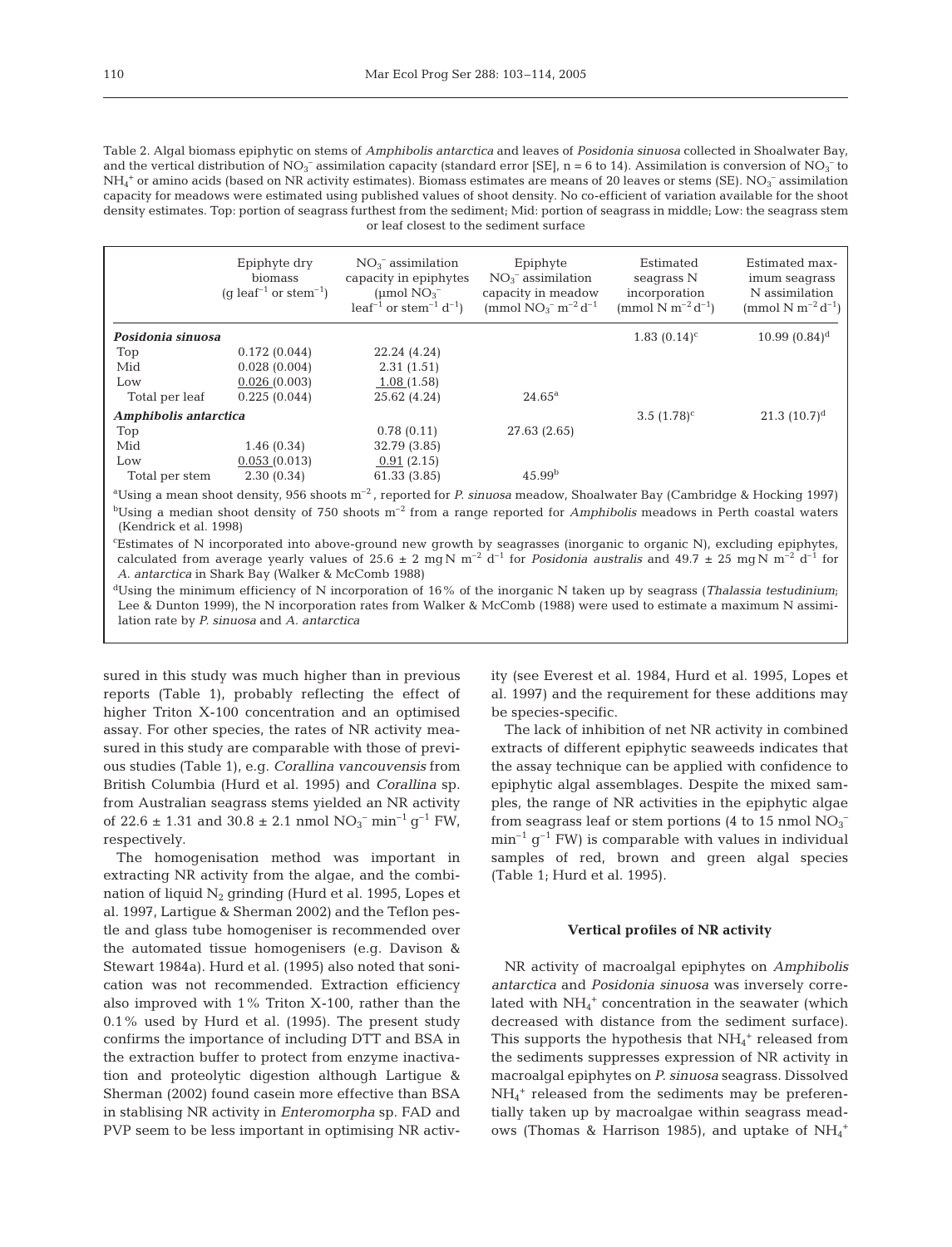110

| Table 2. Algal biomass epiphytic on stems of <i>Amphibolis antarctica</i> and leaves of <i>Posidonia sinuosa</i> collected in Shoalwater Bay,                          |
|------------------------------------------------------------------------------------------------------------------------------------------------------------------------|
| and the vertical distribution of $NO_3^-$ assimilation capacity (standard error [SE], n = 6 to 14). Assimilation is conversion of $NO_3^-$ to                          |
| $NH_4$ <sup>+</sup> or amino acids (based on NR activity estimates). Biomass estimates are means of 20 leaves or stems (SE). NO <sub>2</sub> <sup>-</sup> assimilation |
| capacity for meadows were estimated using published values of shoot density. No co-efficient of variation available for the shoot                                      |
| density estimates. Top: portion of seagrass furthest from the sediment; Mid: portion of seagrass in middle; Low: the seagrass stem                                     |
| or leaf closest to the sediment surface                                                                                                                                |

|                       | Epiphyte dry<br>biomass<br>(q leaf <sup>-1</sup> or stem <sup>-1</sup> ) | $NO_3^-$ assimilation<br>capacity in epiphytes<br>(umol $NO3^-$<br>$leaf^{-1}$ or stem <sup>-1</sup> $d^{-1}$ )                                                                                                                                                                                                                                                   | Epiphyte<br>$NO3$ <sup>-</sup> assimilation<br>capacity in meadow<br>(mmol $NO_3^-$ m <sup>-2</sup> d <sup>-1</sup> | Estimated<br>seagrass N<br>incorporation<br>(mmol N m <sup>-2</sup> d <sup>-1</sup> ) | Estimated max-<br>imum seagrass<br>N assimilation<br>(mmol N m <sup>-2</sup> d <sup>-1</sup> ) |
|-----------------------|--------------------------------------------------------------------------|-------------------------------------------------------------------------------------------------------------------------------------------------------------------------------------------------------------------------------------------------------------------------------------------------------------------------------------------------------------------|---------------------------------------------------------------------------------------------------------------------|---------------------------------------------------------------------------------------|------------------------------------------------------------------------------------------------|
| Posidonia sinuosa     |                                                                          |                                                                                                                                                                                                                                                                                                                                                                   |                                                                                                                     | $1.83(0.14)^c$                                                                        | $10.99(0.84)^d$                                                                                |
| Top                   | 0.172(0.044)                                                             | 22.24 (4.24)                                                                                                                                                                                                                                                                                                                                                      |                                                                                                                     |                                                                                       |                                                                                                |
| Mid                   | 0.028(0.004)                                                             | 2.31(1.51)                                                                                                                                                                                                                                                                                                                                                        |                                                                                                                     |                                                                                       |                                                                                                |
| Low                   | 0.026(0.003)                                                             | 1.08(1.58)                                                                                                                                                                                                                                                                                                                                                        |                                                                                                                     |                                                                                       |                                                                                                |
| Total per leaf        | 0.225(0.044)                                                             | 25.62 (4.24)                                                                                                                                                                                                                                                                                                                                                      | $24.65^{\rm a}$                                                                                                     |                                                                                       |                                                                                                |
| Amphibolis antarctica |                                                                          |                                                                                                                                                                                                                                                                                                                                                                   |                                                                                                                     | $3.5(1.78)^c$                                                                         | 21.3 $(10.7)^d$                                                                                |
| Top                   |                                                                          | 0.78(0.11)                                                                                                                                                                                                                                                                                                                                                        | 27.63 (2.65)                                                                                                        |                                                                                       |                                                                                                |
| Mid                   | 1.46(0.34)                                                               | 32.79 (3.85)                                                                                                                                                                                                                                                                                                                                                      |                                                                                                                     |                                                                                       |                                                                                                |
| Low                   | 0.053(0.013)                                                             | 0.91(2.15)                                                                                                                                                                                                                                                                                                                                                        |                                                                                                                     |                                                                                       |                                                                                                |
| Total per stem        | 2.30(0.34)                                                               | 61.33 (3.85)                                                                                                                                                                                                                                                                                                                                                      | 45.99 <sup>b</sup>                                                                                                  |                                                                                       |                                                                                                |
|                       |                                                                          | $\frac{\partial T}{\partial x}$ is a more chost denote. OFC choose $m=2$ more that $R_{\text{out}}$ $R_{\text{in}}$ and $\sigma_{\text{out}}$ and $\sigma_{\text{out}}$ $R_{\text{out}}$ and $\sigma_{\text{out}}$ $R_{\text{out}}$ and $\sigma_{\text{out}}$ and $\sigma_{\text{out}}$ $\sigma_{\text{out}}$ and $\sigma_{\text{out}}$ $\sigma_{\text{out}}$ and |                                                                                                                     |                                                                                       |                                                                                                |

a Using a mean shoot density, 956 shoots m–2 , reported for *P. sinuosa* meadow, Shoalwater Bay (Cambridge & Hocking 1997)  $b$ Using a median shoot density of 750 shoots  $m^{-2}$  from a range reported for *Amphibolis* meadows in Perth coastal waters (Kendrick et al. 1998)

c Estimates of N incorporated into above-ground new growth by seagrasses (inorganic to organic N), excluding epiphytes, calculated from average yearly values of  $25.6 \pm 2$  mg N m<sup>-2</sup> d<sup>-1</sup> for *Posidonia australis* and  $49.7 \pm 25$  mg N m<sup>-2</sup> d<sup>-1</sup> for *A. antarctica* in Shark Bay (Walker & McComb 1988)

<sup>d</sup>Using the minimum efficiency of N incorporation of 16% of the inorganic N taken up by seagrass (*Thalassia testudinium*; Lee & Dunton 1999), the N incorporation rates from Walker & McComb (1988) were used to estimate a maximum N assimilation rate by *P. sinuosa* and *A. antarctica*

sured in this study was much higher than in previous reports (Table 1), probably reflecting the effect of higher Triton X-100 concentration and an optimised assay. For other species, the rates of NR activity measured in this study are comparable with those of previous studies (Table 1), e.g. *Corallina vancouvensis* from British Columbia (Hurd et al. 1995) and *Corallina* sp. from Australian seagrass stems yielded an NR activity of  $22.6 \pm 1.31$  and  $30.8 \pm 2.1$  nmol  $NO_3^-$  min<sup>-1</sup> g<sup>-1</sup> FW, respectively.

The homogenisation method was important in extracting NR activity from the algae, and the combination of liquid  $N_2$  grinding (Hurd et al. 1995, Lopes et al. 1997, Lartigue & Sherman 2002) and the Teflon pestle and glass tube homogeniser is recommended over the automated tissue homogenisers (e.g. Davison & Stewart 1984a). Hurd et al. (1995) also noted that sonication was not recommended. Extraction efficiency also improved with 1% Triton X-100, rather than the 0.1% used by Hurd et al. (1995). The present study confirms the importance of including DTT and BSA in the extraction buffer to protect from enzyme inactivation and proteolytic digestion although Lartigue & Sherman (2002) found casein more effective than BSA in stablising NR activity in *Enteromorpha* sp. FAD and PVP seem to be less important in optimising NR activity (see Everest et al. 1984, Hurd et al. 1995, Lopes et al. 1997) and the requirement for these additions may be species-specific.

The lack of inhibition of net NR activity in combined extracts of different epiphytic seaweeds indicates that the assay technique can be applied with confidence to epiphytic algal assemblages. Despite the mixed samples, the range of NR activities in the epiphytic algae from seagrass leaf or stem portions (4 to 15 nmol  $\mathrm{NO_3}^ \min^{-1}$  g<sup>-1</sup> FW) is comparable with values in individual samples of red, brown and green algal species (Table 1; Hurd et al. 1995).

# **Vertical profiles of NR activity**

NR activity of macroalgal epiphytes on *Amphibolis antarctica* and *Posidonia sinuosa* was inversely correlated with NH<sub>4</sub><sup>+</sup> concentration in the seawater (which decreased with distance from the sediment surface). This supports the hypothesis that  $NH_4$ <sup>+</sup> released from the sediments suppresses expression of NR activity in macroalgal epiphytes on *P. sinuosa* seagrass. Dissolved NH4 <sup>+</sup> released from the sediments may be preferentially taken up by macroalgae within seagrass meadows (Thomas & Harrison 1985), and uptake of  $NH_4^+$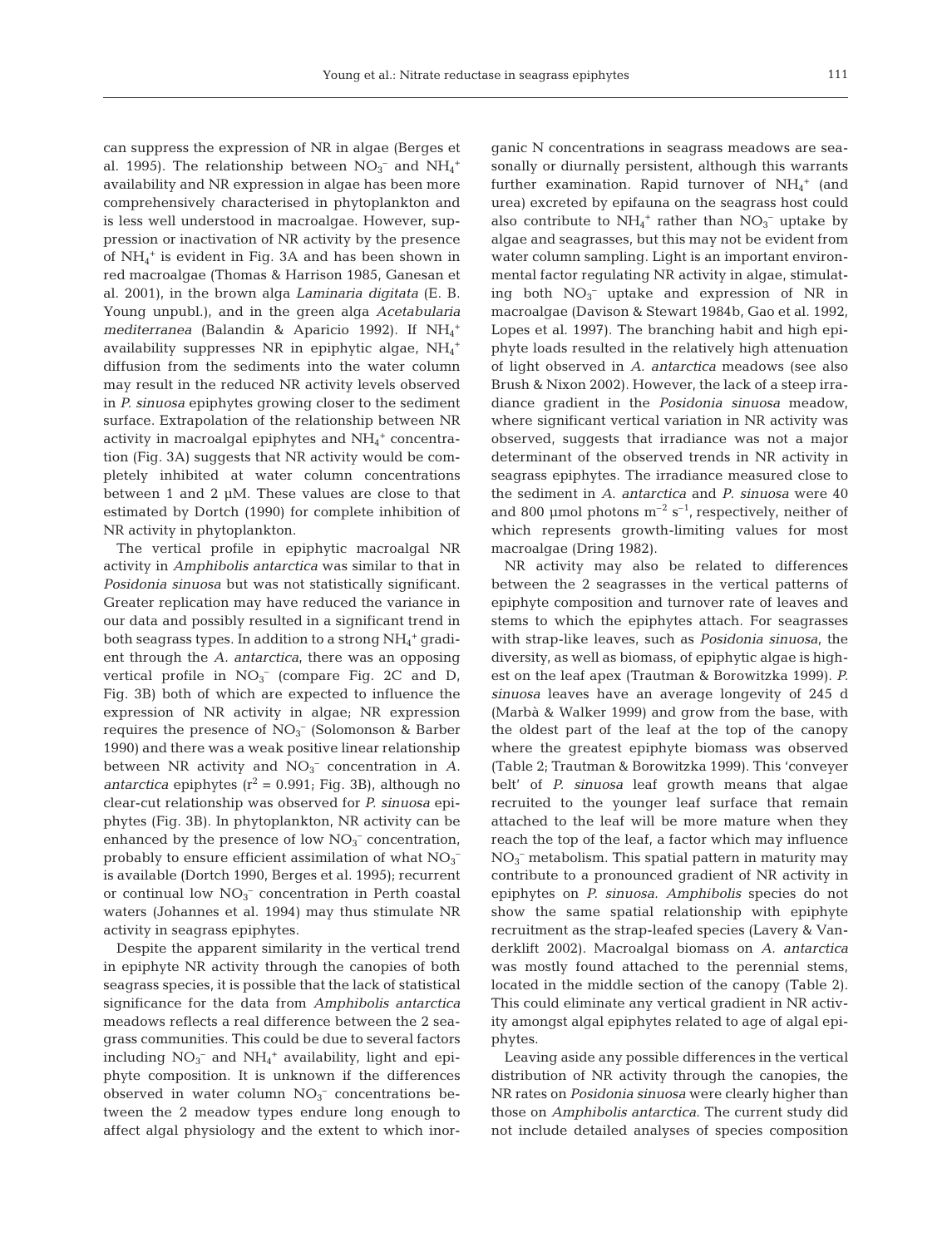111

can suppress the expression of NR in algae (Berges et al. 1995). The relationship between  $NO_3^-$  and  $NH_4^+$ availability and NR expression in algae has been more comprehensively characterised in phytoplankton and is less well understood in macroalgae. However, suppression or inactivation of NR activity by the presence of NH4 <sup>+</sup> is evident in Fig. 3A and has been shown in red macroalgae (Thomas & Harrison 1985, Ganesan et al. 2001), in the brown alga *Laminaria digitata* (E. B. Young unpubl.), and in the green alga *Acetabularia* mediterranea (Balandin & Aparicio 1992). If  $NH_4^+$ availability suppresses NR in epiphytic algae,  $NH_4$ <sup>+</sup> diffusion from the sediments into the water column may result in the reduced NR activity levels observed in *P. sinuosa* epiphytes growing closer to the sediment surface. Extrapolation of the relationship between NR activity in macroalgal epiphytes and  $\mathrm{NH}_4{}^+$  concentration (Fig. 3A) suggests that NR activity would be completely inhibited at water column concentrations between 1 and 2 µM. These values are close to that estimated by Dortch (1990) for complete inhibition of NR activity in phytoplankton.

The vertical profile in epiphytic macroalgal NR activity in *Amphibolis antarctica* was similar to that in *Posidonia sinuosa* but was not statistically significant. Greater replication may have reduced the variance in our data and possibly resulted in a significant trend in both seagrass types. In addition to a strong  $\mathrm{NH}_4^+$  gradient through the *A. antarctica*, there was an opposing vertical profile in  $NO_3^-$  (compare Fig. 2C and D, Fig. 3B) both of which are expected to influence the expression of NR activity in algae; NR expression requires the presence of  $NO<sub>3</sub><sup>-</sup>$  (Solomonson & Barber 1990) and there was a weak positive linear relationship between NR activity and  $NO<sub>3</sub><sup>-</sup>$  concentration in *A*. *antarctica* epiphytes  $(r^2 = 0.991;$  Fig. 3B), although no clear-cut relationship was observed for *P. sinuosa* epiphytes (Fig. 3B). In phytoplankton, NR activity can be enhanced by the presence of low  $NO<sub>3</sub><sup>-</sup>$  concentration, probably to ensure efficient assimilation of what  $NO<sub>3</sub>$ is available (Dortch 1990, Berges et al. 1995); recurrent or continual low  $NO<sub>3</sub><sup>-</sup>$  concentration in Perth coastal waters (Johannes et al. 1994) may thus stimulate NR activity in seagrass epiphytes.

Despite the apparent similarity in the vertical trend in epiphyte NR activity through the canopies of both seagrass species, it is possible that the lack of statistical significance for the data from *Amphibolis antarctica* meadows reflects a real difference between the 2 seagrass communities. This could be due to several factors including  $NO_3^-$  and  $NH_4^+$  availability, light and epiphyte composition. It is unknown if the differences observed in water column  $NO<sub>3</sub><sup>-</sup>$  concentrations between the 2 meadow types endure long enough to affect algal physiology and the extent to which inorganic N concentrations in seagrass meadows are seasonally or diurnally persistent, although this warrants further examination. Rapid turnover of  $NH_4^+$  (and urea) excreted by epifauna on the seagrass host could also contribute to  $NH_4$ <sup>+</sup> rather than  $NO_3$ <sup>-</sup> uptake by algae and seagrasses, but this may not be evident from water column sampling. Light is an important environmental factor regulating NR activity in algae, stimulating both  $NO_3^-$  uptake and expression of NR in macroalgae (Davison & Stewart 1984b, Gao et al. 1992, Lopes et al. 1997). The branching habit and high epiphyte loads resulted in the relatively high attenuation of light observed in *A*. *antarctica* meadows (see also Brush & Nixon 2002). However, the lack of a steep irradiance gradient in the *Posidonia sinuosa* meadow, where significant vertical variation in NR activity was observed, suggests that irradiance was not a major determinant of the observed trends in NR activity in seagrass epiphytes. The irradiance measured close to the sediment in *A*. *antarctica* and *P*. *sinuosa* were 40 and 800 µmol photons  $m^{-2}$  s<sup>-1</sup>, respectively, neither of which represents growth-limiting values for most macroalgae (Dring 1982).

NR activity may also be related to differences between the 2 seagrasses in the vertical patterns of epiphyte composition and turnover rate of leaves and stems to which the epiphytes attach. For seagrasses with strap-like leaves, such as *Posidonia sinuosa*, the diversity, as well as biomass, of epiphytic algae is highest on the leaf apex (Trautman & Borowitzka 1999). *P. sinuosa* leaves have an average longevity of 245 d (Marbà & Walker 1999) and grow from the base, with the oldest part of the leaf at the top of the canopy where the greatest epiphyte biomass was observed (Table 2; Trautman & Borowitzka 1999). This 'conveyer belt' of *P. sinuosa* leaf growth means that algae recruited to the younger leaf surface that remain attached to the leaf will be more mature when they reach the top of the leaf, a factor which may influence NO3 – metabolism. This spatial pattern in maturity may contribute to a pronounced gradient of NR activity in epiphytes on *P. sinuosa. Amphibolis* species do not show the same spatial relationship with epiphyte recruitment as the strap-leafed species (Lavery & Vanderklift 2002). Macroalgal biomass on *A. antarctica* was mostly found attached to the perennial stems, located in the middle section of the canopy (Table 2). This could eliminate any vertical gradient in NR activity amongst algal epiphytes related to age of algal epiphytes.

Leaving aside any possible differences in the vertical distribution of NR activity through the canopies, the NR rates on *Posidonia sinuosa* were clearly higher than those on *Amphibolis antarctica*. The current study did not include detailed analyses of species composition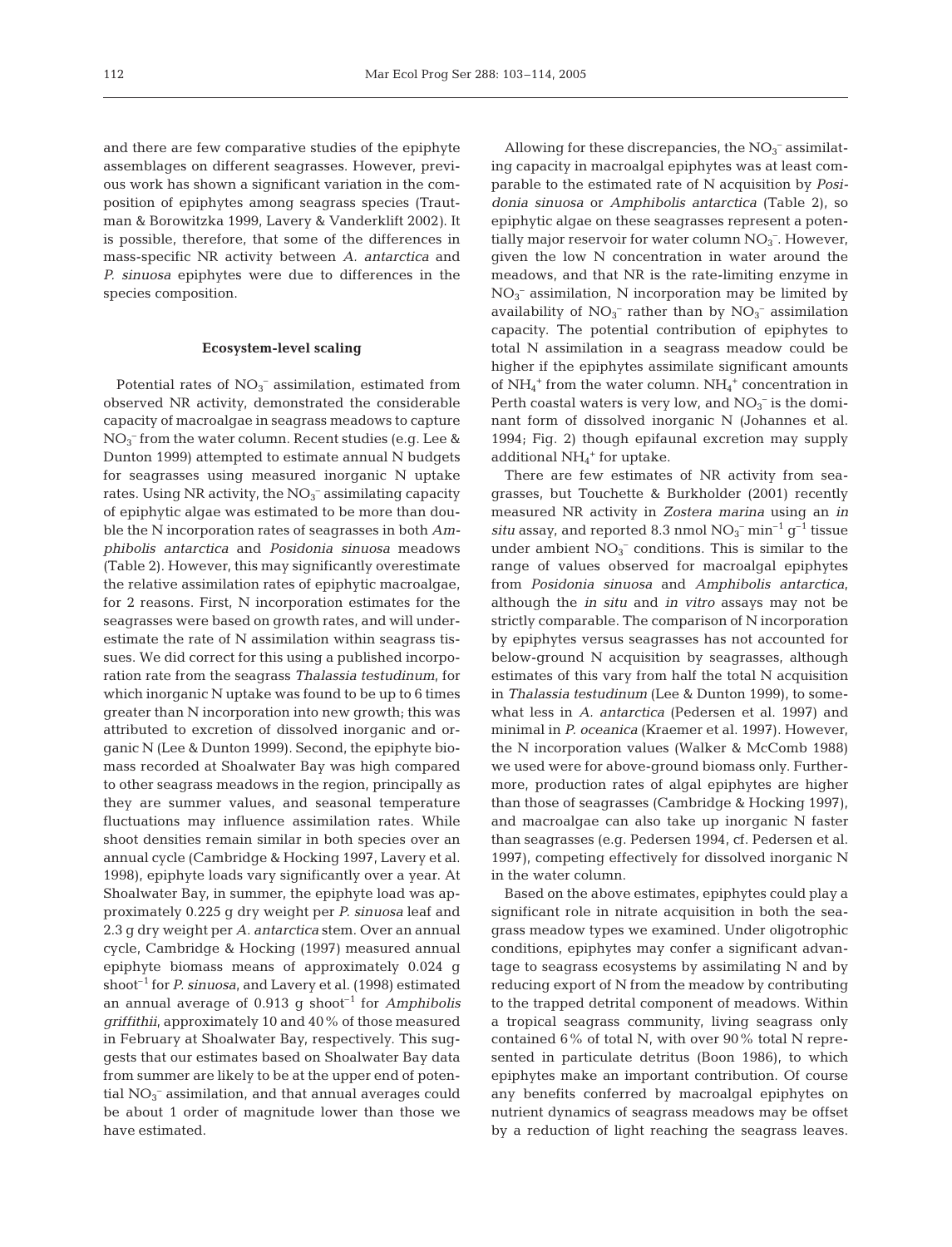and there are few comparative studies of the epiphyte assemblages on different seagrasses. However, previous work has shown a significant variation in the composition of epiphytes among seagrass species (Trautman & Borowitzka 1999, Lavery & Vanderklift 2002*)*. It is possible, therefore, that some of the differences in mass-specific NR activity between *A. antarctica* and *P. sinuosa* epiphytes were due to differences in the species composition.

#### **Ecosystem-level scaling**

Potential rates of  $NO<sub>3</sub><sup>-</sup>$  assimilation, estimated from observed NR activity, demonstrated the considerable capacity of macroalgae in seagrass meadows to capture NO3 – from the water column. Recent studies (e.g. Lee & Dunton 1999) attempted to estimate annual N budgets for seagrasses using measured inorganic N uptake rates. Using NR activity, the  $NO_3^-$  assimilating capacity of epiphytic algae was estimated to be more than double the N incorporation rates of seagrasses in both *Amphibolis antarctica* and *Posidonia sinuosa* meadows (Table 2). However, this may significantly overestimate the relative assimilation rates of epiphytic macroalgae, for 2 reasons. First, N incorporation estimates for the seagrasses were based on growth rates, and will underestimate the rate of N assimilation within seagrass tissues. We did correct for this using a published incorporation rate from the seagrass *Thalassia testudinum,* for which inorganic N uptake was found to be up to 6 times greater than N incorporation into new growth; this was attributed to excretion of dissolved inorganic and organic N (Lee & Dunton 1999). Second, the epiphyte biomass recorded at Shoalwater Bay was high compared to other seagrass meadows in the region, principally as they are summer values, and seasonal temperature fluctuations may influence assimilation rates. While shoot densities remain similar in both species over an annual cycle (Cambridge & Hocking 1997, Lavery et al. 1998), epiphyte loads vary significantly over a year. At Shoalwater Bay, in summer, the epiphyte load was approximately 0.225 g dry weight per *P. sinuosa* leaf and 2.3 g dry weight per *A. antarctica* stem. Over an annual cycle, Cambridge & Hocking (1997) measured annual epiphyte biomass means of approximately 0.024 g shoot–1 for *P. sinuosa*, and Lavery et al. (1998) estimated an annual average of 0.913 g shoot–1 for *Amphibolis griffithii*, approximately 10 and 40% of those measured in February at Shoalwater Bay, respectively. This suggests that our estimates based on Shoalwater Bay data from summer are likely to be at the upper end of potential  $NO<sub>3</sub><sup>-</sup>$  assimilation, and that annual averages could be about 1 order of magnitude lower than those we have estimated.

Allowing for these discrepancies, the  $NO<sub>3</sub><sup>-</sup>$  assimilating capacity in macroalgal epiphytes was at least comparable to the estimated rate of N acquisition by *Posidonia sinuosa* or *Amphibolis antarctica* (Table 2), so epiphytic algae on these seagrasses represent a potentially major reservoir for water column  $NO<sub>3</sub><sup>-</sup>$ . However, given the low N concentration in water around the meadows, and that NR is the rate-limiting enzyme in  $NO<sub>3</sub><sup>-</sup>$  assimilation, N incorporation may be limited by availability of  $NO<sub>3</sub><sup>-</sup>$  rather than by  $NO<sub>3</sub><sup>-</sup>$  assimilation capacity. The potential contribution of epiphytes to total N assimilation in a seagrass meadow could be higher if the epiphytes assimilate significant amounts of  $NH_4^+$  from the water column.  $NH_4^+$  concentration in Perth coastal waters is very low, and  $NO<sub>3</sub><sup>-</sup>$  is the dominant form of dissolved inorganic N (Johannes et al. 1994; Fig. 2) though epifaunal excretion may supply additional  $NH_4$ <sup>+</sup> for uptake.

There are few estimates of NR activity from seagrasses, but Touchette & Burkholder (2001) recently measured NR activity in *Zostera marina* using an *in situ* assay, and reported 8.3 nmol  $NO<sub>3</sub><sup>-</sup> min<sup>-1</sup> g<sup>-1</sup>$  tissue under ambient  $NO<sub>3</sub><sup>-</sup>$  conditions. This is similar to the range of values observed for macroalgal epiphytes from *Posidonia sinuosa* and *Amphibolis antarctica*, although the *in situ* and *in vitro* assays may not be strictly comparable. The comparison of N incorporation by epiphytes versus seagrasses has not accounted for below-ground N acquisition by seagrasses, although estimates of this vary from half the total N acquisition in *Thalassia testudinum* (Lee & Dunton 1999), to somewhat less in *A. antarctica* (Pedersen et al. 1997) and minimal in *P. oceanica* (Kraemer et al. 1997). However, the N incorporation values (Walker & McComb 1988) we used were for above-ground biomass only. Furthermore, production rates of algal epiphytes are higher than those of seagrasses (Cambridge & Hocking 1997), and macroalgae can also take up inorganic N faster than seagrasses (e.g. Pedersen 1994, cf. Pedersen et al. 1997), competing effectively for dissolved inorganic N in the water column.

Based on the above estimates, epiphytes could play a significant role in nitrate acquisition in both the seagrass meadow types we examined. Under oligotrophic conditions, epiphytes may confer a significant advantage to seagrass ecosystems by assimilating N and by reducing export of N from the meadow by contributing to the trapped detrital component of meadows. Within a tropical seagrass community, living seagrass only contained 6% of total N, with over 90% total N represented in particulate detritus (Boon 1986), to which epiphytes make an important contribution. Of course any benefits conferred by macroalgal epiphytes on nutrient dynamics of seagrass meadows may be offset by a reduction of light reaching the seagrass leaves.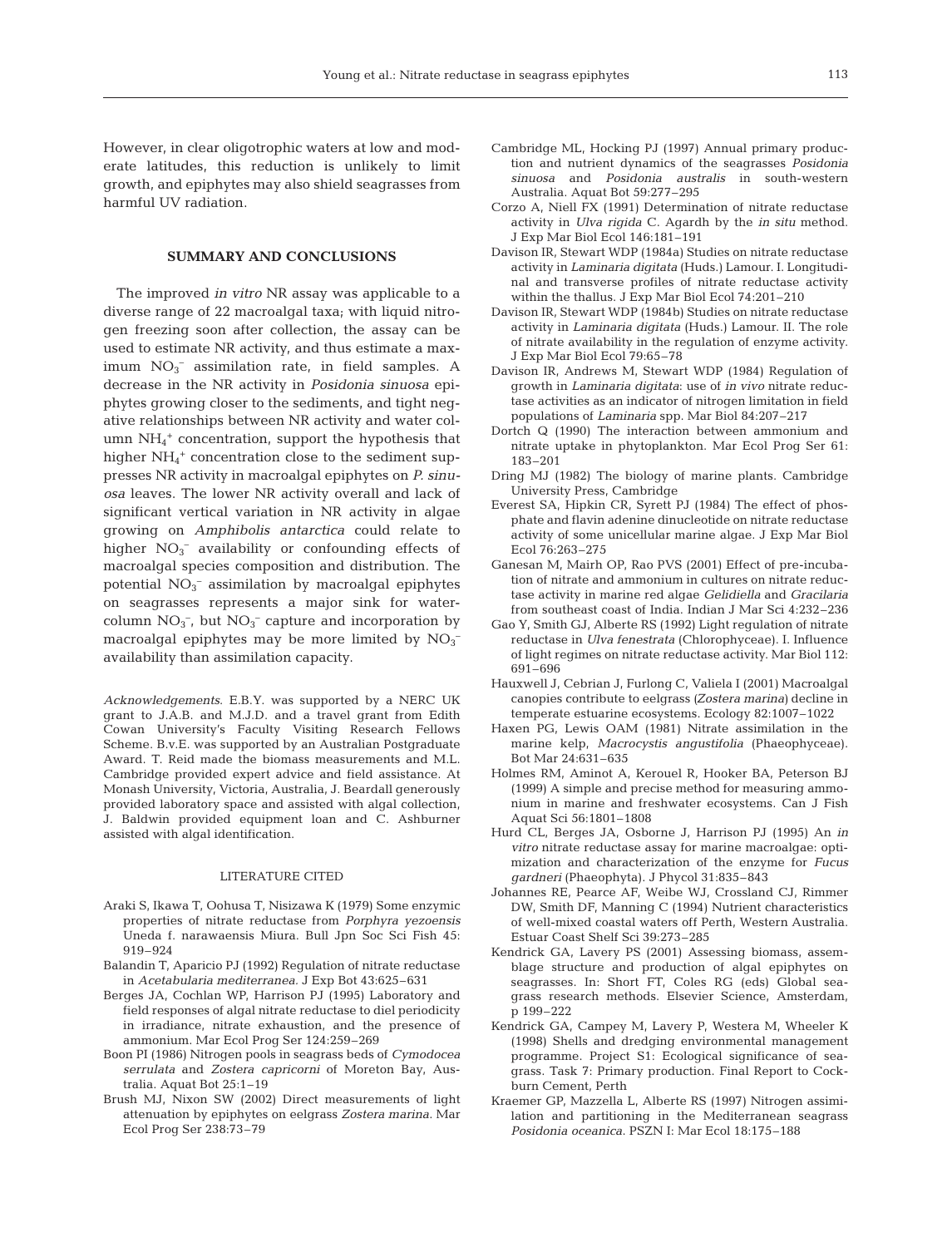However, in clear oligotrophic waters at low and moderate latitudes, this reduction is unlikely to limit growth, and epiphytes may also shield seagrasses from harmful UV radiation.

## **SUMMARY AND CONCLUSIONS**

The improved *in vitro* NR assay was applicable to a diverse range of 22 macroalgal taxa; with liquid nitrogen freezing soon after collection, the assay can be used to estimate NR activity, and thus estimate a max- $\text{imm} \text{NO}_3^-$  assimilation rate, in field samples. A decrease in the NR activity in *Posidonia sinuosa* epiphytes growing closer to the sediments, and tight negative relationships between NR activity and water column NH4 <sup>+</sup> concentration, support the hypothesis that higher  $NH_4$ <sup>+</sup> concentration close to the sediment suppresses NR activity in macroalgal epiphytes on *P. sinuosa* leaves. The lower NR activity overall and lack of significant vertical variation in NR activity in algae growing on *Amphibolis antarctica* could relate to higher  $NO_3^-$  availability or confounding effects of macroalgal species composition and distribution. The potential NO<sub>3</sub><sup>-</sup> assimilation by macroalgal epiphytes on seagrasses represents a major sink for watercolumn  $NO_3^-$ , but  $NO_3^-$  capture and incorporation by macroalgal epiphytes may be more limited by  $NO<sub>3</sub>$ availability than assimilation capacity.

*Acknowledgements*. E.B.Y. was supported by a NERC UK grant to J.A.B. and M.J.D. and a travel grant from Edith Cowan University's Faculty Visiting Research Fellows Scheme. B.v.E. was supported by an Australian Postgraduate Award. T. Reid made the biomass measurements and M.L. Cambridge provided expert advice and field assistance. At Monash University, Victoria, Australia, J. Beardall generously provided laboratory space and assisted with algal collection, J. Baldwin provided equipment loan and C. Ashburner assisted with algal identification.

#### LITERATURE CITED

- Araki S, Ikawa T, Oohusa T, Nisizawa K (1979) Some enzymic properties of nitrate reductase from *Porphyra yezoensis* Uneda f. narawaensis Miura. Bull Jpn Soc Sci Fish 45: 919–924
- Balandin T, Aparicio PJ (1992) Regulation of nitrate reductase in *Acetabularia mediterranea.* J Exp Bot 43:625–631
- Berges JA, Cochlan WP, Harrison PJ (1995) Laboratory and field responses of algal nitrate reductase to diel periodicity in irradiance, nitrate exhaustion, and the presence of ammonium. Mar Ecol Prog Ser 124:259–269
- Boon PI (1986) Nitrogen pools in seagrass beds of *Cymodocea serrulata* and *Zostera capricorni* of Moreton Bay, Australia. Aquat Bot 25:1–19
- Brush MJ, Nixon SW (2002) Direct measurements of light attenuation by epiphytes on eelgrass *Zostera marina*. Mar Ecol Prog Ser 238:73–79
- Cambridge ML, Hocking PJ (1997) Annual primary production and nutrient dynamics of the seagrasses *Posidonia sinuosa* and *Posidonia australis* in south-western Australia. Aquat Bot 59:277–295
- Corzo A, Niell FX (1991) Determination of nitrate reductase activity in *Ulva rigida* C. Agardh by the *in situ* method. J Exp Mar Biol Ecol 146:181–191
- Davison IR, Stewart WDP (1984a) Studies on nitrate reductase activity in *Laminaria digitata* (Huds.) Lamour. I. Longitudinal and transverse profiles of nitrate reductase activity within the thallus. J Exp Mar Biol Ecol 74:201–210
- Davison IR, Stewart WDP (1984b) Studies on nitrate reductase activity in *Laminaria digitata* (Huds.) Lamour. II. The role of nitrate availability in the regulation of enzyme activity. J Exp Mar Biol Ecol 79:65–78
- Davison IR, Andrews M, Stewart WDP (1984) Regulation of growth in *Laminaria digitata*: use of *in vivo* nitrate reductase activities as an indicator of nitrogen limitation in field populations of *Laminaria* spp. Mar Biol 84:207–217
- Dortch Q (1990) The interaction between ammonium and nitrate uptake in phytoplankton. Mar Ecol Prog Ser 61: 183–201
- Dring MJ (1982) The biology of marine plants. Cambridge University Press, Cambridge
- Everest SA, Hipkin CR, Syrett PJ (1984) The effect of phosphate and flavin adenine dinucleotide on nitrate reductase activity of some unicellular marine algae. J Exp Mar Biol Ecol 76:263–275
- Ganesan M, Mairh OP, Rao PVS (2001) Effect of pre-incubation of nitrate and ammonium in cultures on nitrate reductase activity in marine red algae *Gelidiella* and *Gracilaria* from southeast coast of India. Indian J Mar Sci 4:232–236
- Gao Y, Smith GJ, Alberte RS (1992) Light regulation of nitrate reductase in *Ulva fenestrata* (Chlorophyceae). I. Influence of light regimes on nitrate reductase activity. Mar Biol 112: 691–696
- Hauxwell J, Cebrian J, Furlong C, Valiela I (2001) Macroalgal canopies contribute to eelgrass *(Zostera marina)* decline in temperate estuarine ecosystems. Ecology 82:1007–1022
- Haxen PG, Lewis OAM (1981) Nitrate assimilation in the marine kelp, *Macrocystis angustifolia* (Phaeophyceae). Bot Mar 24:631–635
- Holmes RM, Aminot A, Kerouel R, Hooker BA, Peterson BJ (1999) A simple and precise method for measuring ammonium in marine and freshwater ecosystems. Can J Fish Aquat Sci 56:1801–1808
- Hurd CL, Berges JA, Osborne J, Harrison PJ (1995) An *in vitro* nitrate reductase assay for marine macroalgae: optimization and characterization of the enzyme for *Fucus gardneri* (Phaeophyta). J Phycol 31:835–843
- Johannes RE, Pearce AF, Weibe WJ, Crossland CJ, Rimmer DW, Smith DF, Manning C (1994) Nutrient characteristics of well-mixed coastal waters off Perth, Western Australia. Estuar Coast Shelf Sci 39:273–285
- Kendrick GA, Lavery PS (2001) Assessing biomass, assemblage structure and production of algal epiphytes on seagrasses. In: Short FT, Coles RG (eds) Global seagrass research methods. Elsevier Science, Amsterdam, p 199–222
- Kendrick GA, Campey M, Lavery P, Westera M, Wheeler K (1998) Shells and dredging environmental management programme. Project S1: Ecological significance of seagrass. Task 7: Primary production. Final Report to Cockburn Cement, Perth
- Kraemer GP, Mazzella L, Alberte RS (1997) Nitrogen assimilation and partitioning in the Mediterranean seagrass *Posidonia oceanica*. PSZN I: Mar Ecol 18:175–188